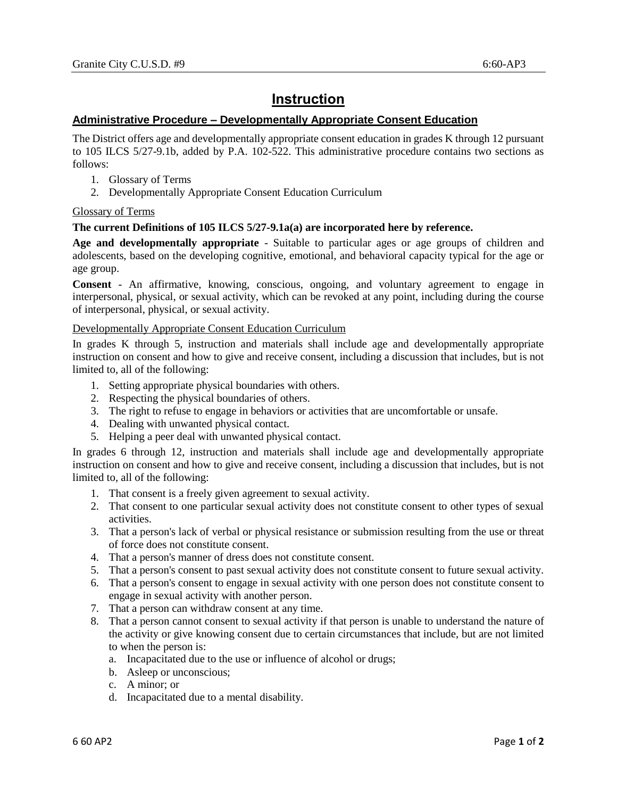# **Instruction**

## **Administrative Procedure – Developmentally Appropriate Consent Education**

The District offers age and developmentally appropriate consent education in grades K through 12 pursuant to 105 ILCS 5/27-9.1b, added by P.A. 102-522. This administrative procedure contains two sections as follows:

- 1. Glossary of Terms
- 2. Developmentally Appropriate Consent Education Curriculum

## Glossary of Terms

### **The current Definitions of 105 ILCS 5/27-9.1a(a) are incorporated here by reference.**

**Age and developmentally appropriate** - Suitable to particular ages or age groups of children and adolescents, based on the developing cognitive, emotional, and behavioral capacity typical for the age or age group.

**Consent** - An affirmative, knowing, conscious, ongoing, and voluntary agreement to engage in interpersonal, physical, or sexual activity, which can be revoked at any point, including during the course of interpersonal, physical, or sexual activity.

### Developmentally Appropriate Consent Education Curriculum

In grades K through 5, instruction and materials shall include age and developmentally appropriate instruction on consent and how to give and receive consent, including a discussion that includes, but is not limited to, all of the following:

- 1. Setting appropriate physical boundaries with others.
- 2. Respecting the physical boundaries of others.
- 3. The right to refuse to engage in behaviors or activities that are uncomfortable or unsafe.
- 4. Dealing with unwanted physical contact.
- 5. Helping a peer deal with unwanted physical contact.

In grades 6 through 12, instruction and materials shall include age and developmentally appropriate instruction on consent and how to give and receive consent, including a discussion that includes, but is not limited to, all of the following:

- 1. That consent is a freely given agreement to sexual activity.
- 2. That consent to one particular sexual activity does not constitute consent to other types of sexual activities.
- 3. That a person's lack of verbal or physical resistance or submission resulting from the use or threat of force does not constitute consent.
- 4. That a person's manner of dress does not constitute consent.
- 5. That a person's consent to past sexual activity does not constitute consent to future sexual activity.
- 6. That a person's consent to engage in sexual activity with one person does not constitute consent to engage in sexual activity with another person.
- 7. That a person can withdraw consent at any time.
- 8. That a person cannot consent to sexual activity if that person is unable to understand the nature of the activity or give knowing consent due to certain circumstances that include, but are not limited to when the person is:
	- a. Incapacitated due to the use or influence of alcohol or drugs;
	- b. Asleep or unconscious;
	- c. A minor; or
	- d. Incapacitated due to a mental disability.